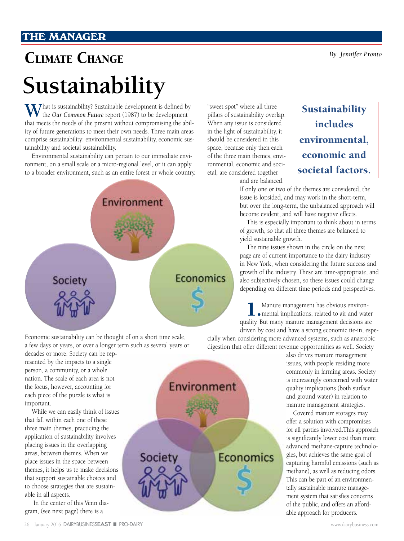### **THE MANAGER**

## Climate Change *By Jennifer Pronto*

# **Sustainability**

What is sustainability? Sustainable development is defined by the *Our Common Future* report (1987) to be development that meets the needs of the present without compromising the ability of future generations to meet their own needs. Three main areas comprise sustainability: environmental sustainability, economic sustainability and societal sustainability.

Environmental sustainability can pertain to our immediate environment, on a small scale or a micro-regional level, or it can apply to a broader environment, such as an entire forest or whole country.



"sweet spot" where all three pillars of sustainability overlap. When any issue is considered in the light of sustainability, it should be considered in this space, because only then each of the three main themes, environmental, economic and societal, are considered together and are balanced.

## Sustainability includes environmental, economic and societal factors.

If only one or two of the themes are considered, the issue is lopsided, and may work in the short-term, but over the long-term, the unbalanced approach will become evident, and will have negative effects.

This is especially important to think about in terms of growth, so that all three themes are balanced to yield sustainable growth.

The nine issues shown in the circle on the next page are of current importance to the dairy industry in New York, when considering the future success and growth of the industry. These are time-appropriate, and also subjectively chosen, so these issues could change depending on different time periods and perspectives.

1.Manure management has obvious environ-mental implications, related to air and water quality. But many manure management decisions are driven by cost and have a strong economic tie-in, espe-

cially when considering more advanced systems, such as anaerobic digestion that offer different revenue opportunities as well. Society

> also drives manure management issues, with people residing more commonly in farming areas. Society is increasingly concerned with water quality implications (both surface and ground water) in relation to manure management strategies.

Covered manure storages may offer a solution with compromises for all parties involved.This approach is significantly lower cost than more advanced methane-capture technologies, but achieves the same goal of capturing harmful emissions (such as methane), as well as reducing odors. This can be part of an environmentally sustainable manure management system that satisfies concerns of the public, and offers an affordable approach for producers.

Economic sustainability can be thought of on a short time scale, a few days or years, or over a longer term such as several years or

decades or more. Society can be represented by the impacts to a single person, a community, or a whole nation. The scale of each area is not the focus, however, accounting for each piece of the puzzle is what is important.

While we can easily think of issues that fall within each one of these three main themes, practicing the application of sustainability involves placing issues in the overlapping areas, between themes. When we place issues in the space between themes, it helps us to make decisions that support sustainable choices and to choose strategies that are sustainable in all aspects.

 In the center of this Venn diagram, (see next page) there is a

Environment Economics Society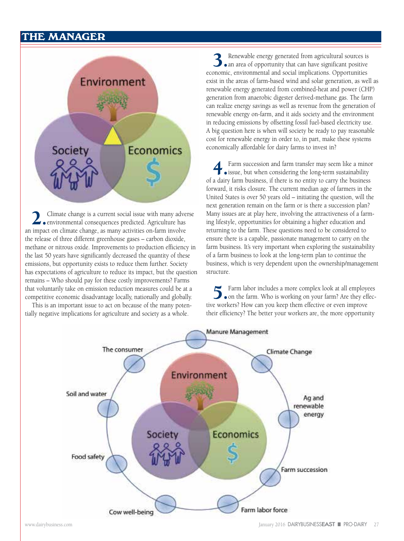#### **THE MANAGER**



2. Climate change is a current social issue with many adverse environmental consequences predicted. Agriculture has an impact on climate change, as many activities on-farm involve the release of three different greenhouse gases – carbon dioxide, methane or nitrous oxide. Improvements to production efficiency in the last 50 years have significantly decreased the quantity of these emissions, but opportunity exists to reduce them further. Society has expectations of agriculture to reduce its impact, but the question remains – Who should pay for these costly improvements? Farms that voluntarily take on emission reduction measures could be at a competitive economic disadvantage locally, nationally and globally.

This is an important issue to act on because of the many potentially negative implications for agriculture and society as a whole.

3.Renewable energy generated from agricultural sources is an area of opportunity that can have significant positive economic, environmental and social implications. Opportunities exist in the areas of farm-based wind and solar generation, as well as renewable energy generated from combined-heat and power (CHP) generation from anaerobic digester derived-methane gas. The farm can realize energy savings as well as revenue from the generation of renewable energy on-farm, and it aids society and the environment in reducing emissions by offsetting fossil fuel-based electricity use. A big question here is when will society be ready to pay reasonable cost for renewable energy in order to, in part, make these systems economically affordable for dairy farms to invest in?

Farm succession and farm transfer may seem like a minor issue, but when considering the long-term sustainability of a dairy farm business, if there is no entity to carry the business forward, it risks closure. The current median age of farmers in the United States is over 50 years old – initiating the question, will the next generation remain on the farm or is there a succession plan? Many issues are at play here, involving the attractiveness of a farming lifestyle, opportunities for obtaining a higher education and returning to the farm. These questions need to be considered to ensure there is a capable, passionate management to carry on the farm business. It's very important when exploring the sustainability of a farm business to look at the long-term plan to continue the business, which is very dependent upon the ownership/management structure.

5.Farm labor includes a more complex look at all employees on the farm. Who is working on your farm? Are they effective workers? How can you keep them effective or even improve their efficiency? The better your workers are, the more opportunity